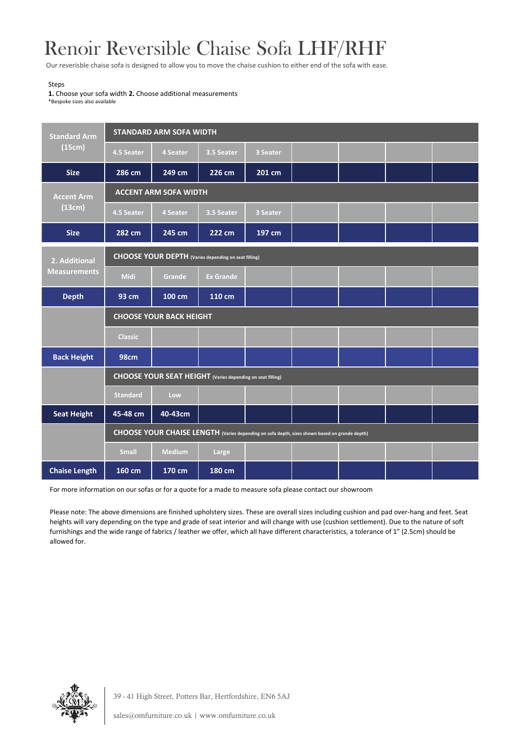## Renoir Reversible Chaise Sofa LHF/RHF

Our reverisble chaise sofa is designed to allow you to move the chaise cushion to either end of the sofa with ease.

## Steps

**1.** Choose your sofa width **2.** Choose additional measurements \*Bespoke sizes also available

| <b>Standard Arm</b><br>(15cm)        | <b>STANDARD ARM SOFA WIDTH</b>                                                                |                 |                  |          |  |  |  |  |  |  |
|--------------------------------------|-----------------------------------------------------------------------------------------------|-----------------|------------------|----------|--|--|--|--|--|--|
|                                      | 4.5 Seater                                                                                    | 4 Seater        | 3.5 Seater       | 3 Seater |  |  |  |  |  |  |
| <b>Size</b>                          | 286 cm                                                                                        | 249 cm          | 226 cm           | 201 cm   |  |  |  |  |  |  |
| <b>Accent Arm</b><br>(13cm)          | <b>ACCENT ARM SOFA WIDTH</b>                                                                  |                 |                  |          |  |  |  |  |  |  |
|                                      | 4.5 Seater                                                                                    | <b>4 Seater</b> | 3.5 Seater       | 3 Seater |  |  |  |  |  |  |
| <b>Size</b>                          | 282 cm                                                                                        | 245 cm          | 222 cm           | 197 cm   |  |  |  |  |  |  |
| 2. Additional<br><b>Measurements</b> | <b>CHOOSE YOUR DEPTH</b> (Varies depending on seat filling)                                   |                 |                  |          |  |  |  |  |  |  |
|                                      | <b>Midi</b>                                                                                   | Grande          | <b>Ex Grande</b> |          |  |  |  |  |  |  |
| <b>Depth</b>                         | 93 cm                                                                                         | 100 cm          | 110 cm           |          |  |  |  |  |  |  |
|                                      | <b>CHOOSE YOUR BACK HEIGHT</b>                                                                |                 |                  |          |  |  |  |  |  |  |
|                                      | <b>Classic</b>                                                                                |                 |                  |          |  |  |  |  |  |  |
| <b>Back Height</b>                   | <b>98cm</b>                                                                                   |                 |                  |          |  |  |  |  |  |  |
|                                      | CHOOSE YOUR SEAT HEIGHT (Varies depending on seat filling)                                    |                 |                  |          |  |  |  |  |  |  |
|                                      | <b>Standard</b>                                                                               | Low             |                  |          |  |  |  |  |  |  |
| <b>Seat Height</b>                   | 45-48 cm                                                                                      | 40-43cm         |                  |          |  |  |  |  |  |  |
|                                      | CHOOSE YOUR CHAISE LENGTH (Varies depending on sofa depth, sizes shown based on grande depth) |                 |                  |          |  |  |  |  |  |  |
|                                      | <b>Small</b>                                                                                  | <b>Medium</b>   | Large            |          |  |  |  |  |  |  |
| <b>Chaise Length</b>                 | 160 cm                                                                                        | 170 cm          | 180 cm           |          |  |  |  |  |  |  |

For more information on our sofas or for a quote for a made to measure sofa please contact our showroom

Please note: The above dimensions are finished upholstery sizes. These are overall sizes including cushion and pad over-hang and feet. Seat heights will vary depending on the type and grade of seat interior and will change with use (cushion settlement). Due to the nature of soft furnishings and the wide range of fabrics / leather we offer, which all have different characteristics, a tolerance of 1" (2.5cm) should be allowed for.



39 - 41 High Street, Potters Bar, Hertfordshire, EN6 5AJ